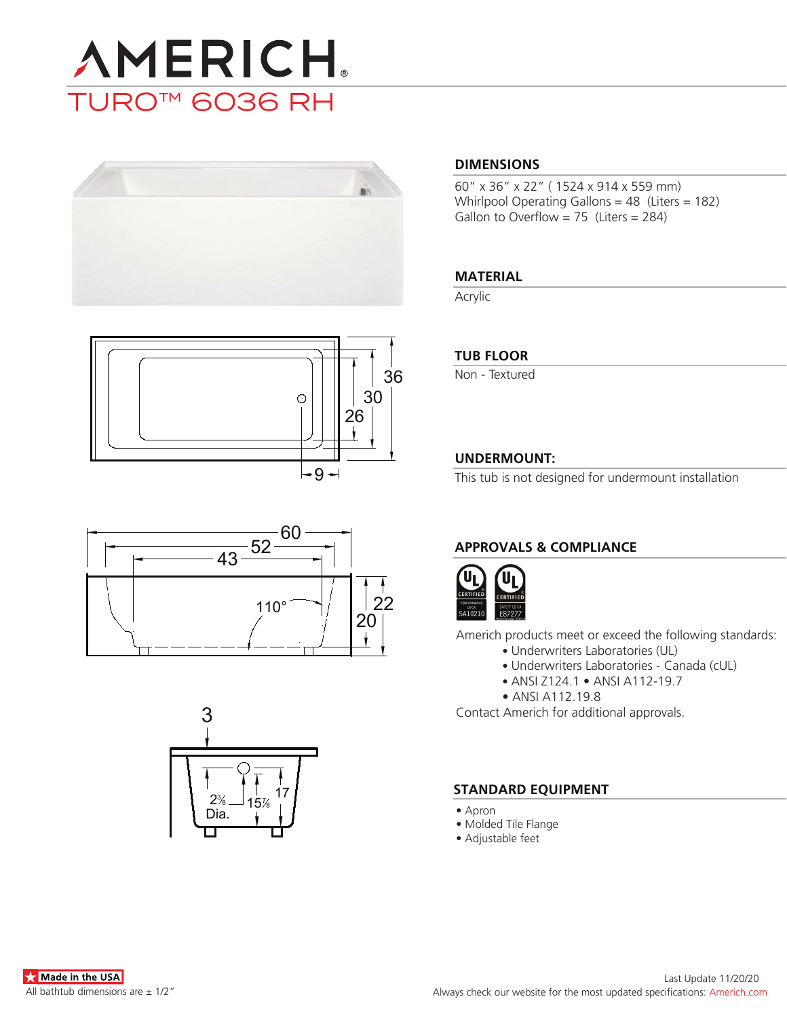# **AMERICH** TURO™ 6036 RH









### **DIMENSIONS**

60" x 36" x 22" ( 1524 x 914 x 559 mm) Whirlpool Operating Gallons = 48 (Liters = 182) Gallon to Overflow = 75 (Liters = 284)

### **MATERIAL**

Acrylic

### **TUB FLOOR**

Non - Textured

### **UNDERMOUNT:**

This tub is not designed for undermount installation

### **APPROVALS & COMPLIANCE**



Americh products meet or exceed the following standards:

- Underwriters Laboratories (UL)
	- Underwriters Laboratories Canada (cUL)
	- ANSI Z124.1 ANSI A112-19.7
- ANSI A112.19.8

Contact Americh for additional approvals.

### **STANDARD EQUIPMENT**

- Apron
- Molded Tile Flange
- Adjustable feet